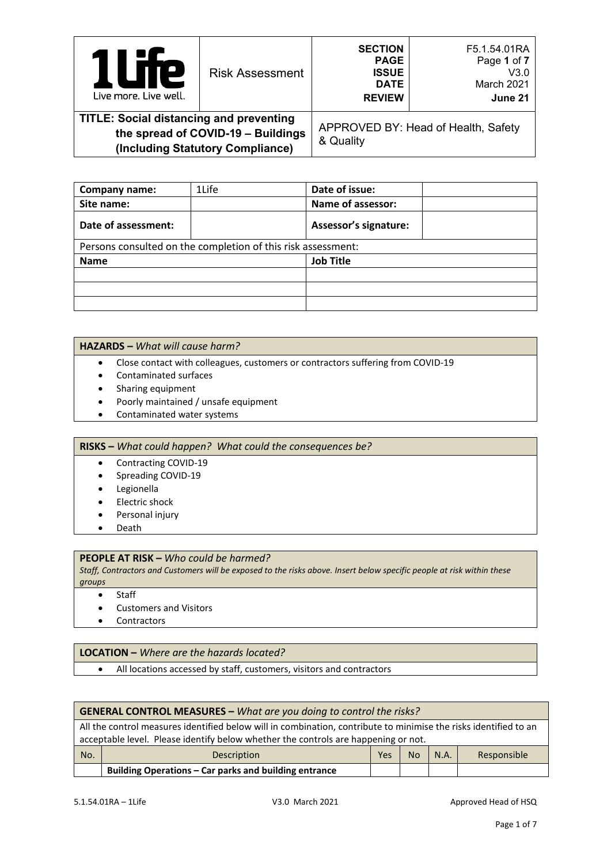| re<br>$\mathbf{I}$<br>Live more. Live well.    | <b>Risk Assessment</b>                                                 | <b>SECTION</b><br><b>PAGE</b><br><b>ISSUE</b><br><b>DATE</b><br><b>REVIEW</b> | F5.1.54.01RA<br>Page 1 of 7<br>V3.0<br>March 2021<br>June 21 |
|------------------------------------------------|------------------------------------------------------------------------|-------------------------------------------------------------------------------|--------------------------------------------------------------|
| <b>TITLE: Social distancing and preventing</b> | the spread of COVID-19 - Buildings<br>(Including Statutory Compliance) | & Quality                                                                     | APPROVED BY: Head of Health, Safety                          |

| Company name:       | 1Life                                                        | Date of issue:               |
|---------------------|--------------------------------------------------------------|------------------------------|
| Site name:          |                                                              | Name of assessor:            |
| Date of assessment: |                                                              | <b>Assessor's signature:</b> |
|                     | Persons consulted on the completion of this risk assessment: |                              |
| <b>Name</b>         |                                                              | <b>Job Title</b>             |
|                     |                                                              |                              |
|                     |                                                              |                              |
|                     |                                                              |                              |

#### **HAZARDS –** *What will cause harm?*

- Close contact with colleagues, customers or contractors suffering from COVID-19
- Contaminated surfaces
- Sharing equipment
- Poorly maintained / unsafe equipment
- Contaminated water systems

### **RISKS –** *What could happen? What could the consequences be?*

- Contracting COVID-19
- Spreading COVID-19
- Legionella
- Electric shock
- Personal injury
- Death

## **PEOPLE AT RISK –** *Who could be harmed?*

*Staff, Contractors and Customers will be exposed to the risks above. Insert below specific people at risk within these groups*

• Staff

- Customers and Visitors
- Contractors

### **LOCATION –** *Where are the hazards located?*

• All locations accessed by staff, customers, visitors and contractors

|     | <b>GENERAL CONTROL MEASURES - What are you doing to control the risks?</b>                                       |  |  |  |  |  |
|-----|------------------------------------------------------------------------------------------------------------------|--|--|--|--|--|
|     | All the control measures identified below will in combination, contribute to minimise the risks identified to an |  |  |  |  |  |
|     | acceptable level. Please identify below whether the controls are happening or not.                               |  |  |  |  |  |
| No. | Yes<br><b>No</b><br>N.A.<br>Responsible<br>Description                                                           |  |  |  |  |  |
|     | Building Operations – Car parks and building entrance                                                            |  |  |  |  |  |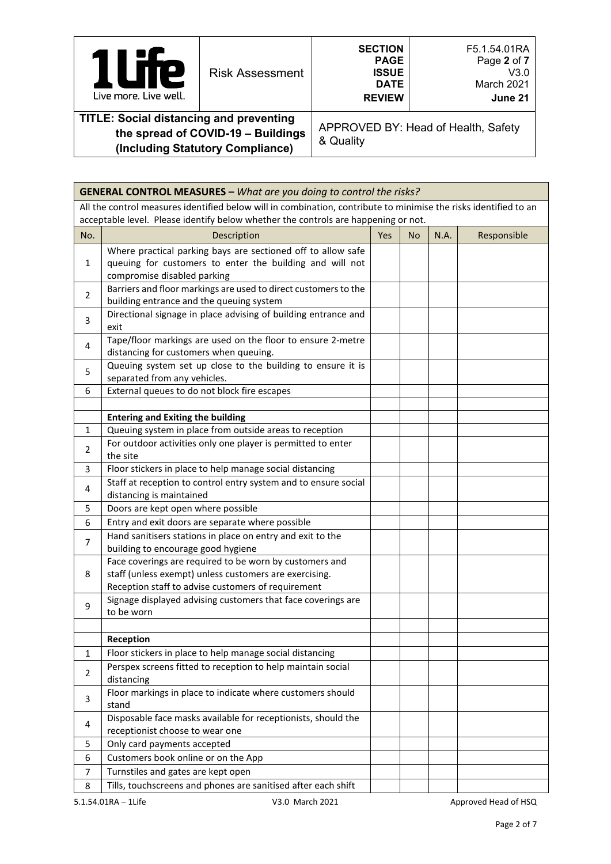| Live more. Live well.                                                                    | <b>Risk Assessment</b> | <b>SECTION</b><br><b>PAGE</b><br><b>ISSUE</b><br><b>DATE</b><br><b>REVIEW</b> | F5.1.54.01RA<br>Page 2 of 7<br>V3.0<br>March 2021<br>June 21 |
|------------------------------------------------------------------------------------------|------------------------|-------------------------------------------------------------------------------|--------------------------------------------------------------|
| <b>TITLE: Social distancing and preventing</b><br>the spread of $CONID$ 40 $D$ . ildings |                        |                                                                               | APPROVED BY: Head of Health, Safety                          |

APPROVED BY: Head of Health, Safety & Quality

|                | <b>GENERAL CONTROL MEASURES - What are you doing to control the risks?</b>                                                                                                                             |     |           |      |             |
|----------------|--------------------------------------------------------------------------------------------------------------------------------------------------------------------------------------------------------|-----|-----------|------|-------------|
|                | All the control measures identified below will in combination, contribute to minimise the risks identified to an<br>acceptable level. Please identify below whether the controls are happening or not. |     |           |      |             |
| No.            | Description                                                                                                                                                                                            | Yes | <b>No</b> | N.A. | Responsible |
| $\mathbf{1}$   | Where practical parking bays are sectioned off to allow safe<br>queuing for customers to enter the building and will not<br>compromise disabled parking                                                |     |           |      |             |
| $\overline{2}$ | Barriers and floor markings are used to direct customers to the<br>building entrance and the queuing system                                                                                            |     |           |      |             |
| 3              | Directional signage in place advising of building entrance and<br>exit                                                                                                                                 |     |           |      |             |
| 4              | Tape/floor markings are used on the floor to ensure 2-metre<br>distancing for customers when queuing.                                                                                                  |     |           |      |             |
| 5              | Queuing system set up close to the building to ensure it is<br>separated from any vehicles.                                                                                                            |     |           |      |             |
| 6              | External queues to do not block fire escapes                                                                                                                                                           |     |           |      |             |
|                | <b>Entering and Exiting the building</b>                                                                                                                                                               |     |           |      |             |
| $\mathbf{1}$   | Queuing system in place from outside areas to reception                                                                                                                                                |     |           |      |             |
| 2              | For outdoor activities only one player is permitted to enter<br>the site                                                                                                                               |     |           |      |             |
| 3              | Floor stickers in place to help manage social distancing                                                                                                                                               |     |           |      |             |
| 4              | Staff at reception to control entry system and to ensure social<br>distancing is maintained                                                                                                            |     |           |      |             |
| 5              | Doors are kept open where possible                                                                                                                                                                     |     |           |      |             |
| 6              | Entry and exit doors are separate where possible                                                                                                                                                       |     |           |      |             |
| $\overline{7}$ | Hand sanitisers stations in place on entry and exit to the<br>building to encourage good hygiene                                                                                                       |     |           |      |             |
| 8              | Face coverings are required to be worn by customers and<br>staff (unless exempt) unless customers are exercising.<br>Reception staff to advise customers of requirement                                |     |           |      |             |
| 9              | Signage displayed advising customers that face coverings are<br>to be worn                                                                                                                             |     |           |      |             |
|                |                                                                                                                                                                                                        |     |           |      |             |
|                | Reception                                                                                                                                                                                              |     |           |      |             |
| $\mathbf{1}$   | Floor stickers in place to help manage social distancing                                                                                                                                               |     |           |      |             |
| $\mathbf 2$    | Perspex screens fitted to reception to help maintain social<br>distancing                                                                                                                              |     |           |      |             |
| 3              | Floor markings in place to indicate where customers should<br>stand                                                                                                                                    |     |           |      |             |
| 4              | Disposable face masks available for receptionists, should the<br>receptionist choose to wear one                                                                                                       |     |           |      |             |
| 5              | Only card payments accepted                                                                                                                                                                            |     |           |      |             |
| 6              | Customers book online or on the App                                                                                                                                                                    |     |           |      |             |
| $\overline{7}$ | Turnstiles and gates are kept open                                                                                                                                                                     |     |           |      |             |
| 8              | Tills, touchscreens and phones are sanitised after each shift                                                                                                                                          |     |           |      |             |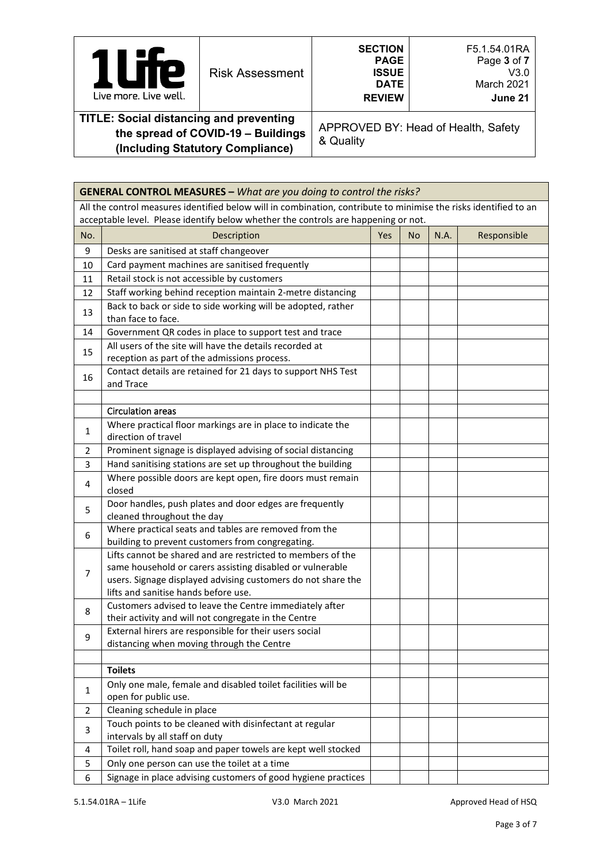| $\boldsymbol{e}$<br>Live more. Live well.      | <b>Risk Assessment</b>             | <b>SECTION</b><br><b>PAGE</b><br><b>ISSUE</b><br><b>DATE</b><br><b>REVIEW</b> | F5.1.54.01RA<br>Page 3 of 7<br>V3.0<br>March 2021<br>June 21 |
|------------------------------------------------|------------------------------------|-------------------------------------------------------------------------------|--------------------------------------------------------------|
| <b>TITLE: Social distancing and preventing</b> | the spread of COVID-19 - Buildings | APPROVED BY: Head of Health, Safety                                           |                                                              |

& Quality

|                | <b>GENERAL CONTROL MEASURES - What are you doing to control the risks?</b>                                                                                                                                                       |     |    |      |             |
|----------------|----------------------------------------------------------------------------------------------------------------------------------------------------------------------------------------------------------------------------------|-----|----|------|-------------|
|                | All the control measures identified below will in combination, contribute to minimise the risks identified to an                                                                                                                 |     |    |      |             |
|                | acceptable level. Please identify below whether the controls are happening or not.                                                                                                                                               |     |    |      |             |
| No.            | Description                                                                                                                                                                                                                      | Yes | No | N.A. | Responsible |
| 9              | Desks are sanitised at staff changeover                                                                                                                                                                                          |     |    |      |             |
| 10             | Card payment machines are sanitised frequently                                                                                                                                                                                   |     |    |      |             |
| 11             | Retail stock is not accessible by customers                                                                                                                                                                                      |     |    |      |             |
| 12             | Staff working behind reception maintain 2-metre distancing                                                                                                                                                                       |     |    |      |             |
| 13             | Back to back or side to side working will be adopted, rather<br>than face to face.                                                                                                                                               |     |    |      |             |
| 14             | Government QR codes in place to support test and trace                                                                                                                                                                           |     |    |      |             |
| 15             | All users of the site will have the details recorded at<br>reception as part of the admissions process.                                                                                                                          |     |    |      |             |
| 16             | Contact details are retained for 21 days to support NHS Test<br>and Trace                                                                                                                                                        |     |    |      |             |
|                |                                                                                                                                                                                                                                  |     |    |      |             |
|                | <b>Circulation areas</b>                                                                                                                                                                                                         |     |    |      |             |
| 1              | Where practical floor markings are in place to indicate the<br>direction of travel                                                                                                                                               |     |    |      |             |
| $\overline{2}$ | Prominent signage is displayed advising of social distancing                                                                                                                                                                     |     |    |      |             |
| 3              | Hand sanitising stations are set up throughout the building                                                                                                                                                                      |     |    |      |             |
| 4              | Where possible doors are kept open, fire doors must remain<br>closed                                                                                                                                                             |     |    |      |             |
| 5              | Door handles, push plates and door edges are frequently<br>cleaned throughout the day                                                                                                                                            |     |    |      |             |
| 6              | Where practical seats and tables are removed from the<br>building to prevent customers from congregating.                                                                                                                        |     |    |      |             |
| $\overline{7}$ | Lifts cannot be shared and are restricted to members of the<br>same household or carers assisting disabled or vulnerable<br>users. Signage displayed advising customers do not share the<br>lifts and sanitise hands before use. |     |    |      |             |
| 8              | Customers advised to leave the Centre immediately after<br>their activity and will not congregate in the Centre                                                                                                                  |     |    |      |             |
| 9              | External hirers are responsible for their users social<br>distancing when moving through the Centre                                                                                                                              |     |    |      |             |
|                |                                                                                                                                                                                                                                  |     |    |      |             |
|                | <b>Toilets</b>                                                                                                                                                                                                                   |     |    |      |             |
| $\mathbf{1}$   | Only one male, female and disabled toilet facilities will be<br>open for public use.                                                                                                                                             |     |    |      |             |
| $\overline{2}$ | Cleaning schedule in place                                                                                                                                                                                                       |     |    |      |             |
| 3              | Touch points to be cleaned with disinfectant at regular<br>intervals by all staff on duty                                                                                                                                        |     |    |      |             |
| 4              | Toilet roll, hand soap and paper towels are kept well stocked                                                                                                                                                                    |     |    |      |             |
| 5              | Only one person can use the toilet at a time                                                                                                                                                                                     |     |    |      |             |
| 6              | Signage in place advising customers of good hygiene practices                                                                                                                                                                    |     |    |      |             |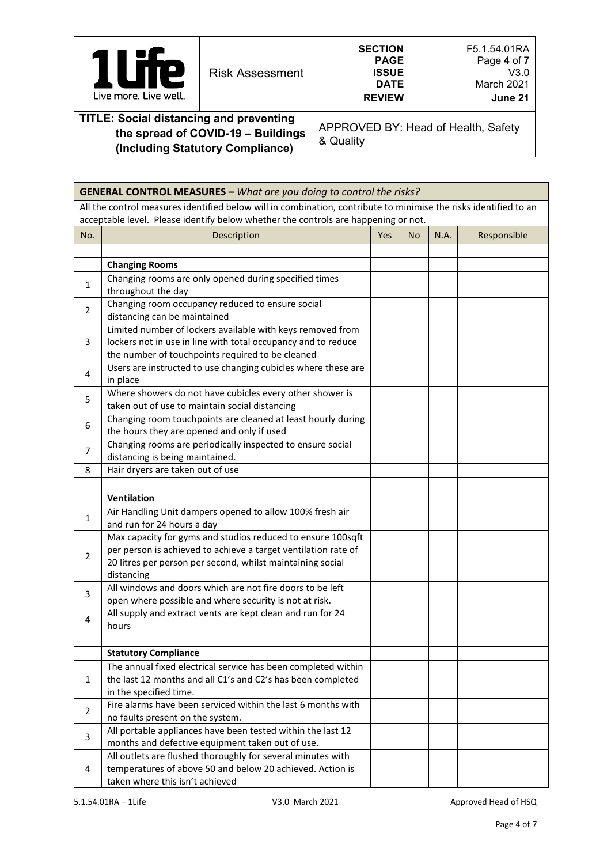| 21<br><b>Risk Assessment</b><br>Live more. Live well.                               | <b>SECTION</b><br>F5.1.54.01RA<br>Page 4 of 7<br><b>PAGE</b><br><b>ISSUE</b><br>V3.0<br>March 2021<br><b>DATE</b><br><b>REVIEW</b><br>June 21 |  |                                     |  |  |  |
|-------------------------------------------------------------------------------------|-----------------------------------------------------------------------------------------------------------------------------------------------|--|-------------------------------------|--|--|--|
| <b>TITLE: Social distancing and preventing</b><br>the spread of COVID 40. Duildings |                                                                                                                                               |  | APPROVED BY: Head of Health, Safety |  |  |  |

APPROVED BY: Head of Health, Safety & Quality

|                | <b>GENERAL CONTROL MEASURES - What are you doing to control the risks?</b>                                       |     |           |      |             |
|----------------|------------------------------------------------------------------------------------------------------------------|-----|-----------|------|-------------|
|                | All the control measures identified below will in combination, contribute to minimise the risks identified to an |     |           |      |             |
|                | acceptable level. Please identify below whether the controls are happening or not.                               |     |           |      |             |
| No.            | Description                                                                                                      | Yes | <b>No</b> | N.A. | Responsible |
|                |                                                                                                                  |     |           |      |             |
|                | <b>Changing Rooms</b>                                                                                            |     |           |      |             |
|                | Changing rooms are only opened during specified times                                                            |     |           |      |             |
| $\mathbf{1}$   | throughout the day                                                                                               |     |           |      |             |
| $\overline{2}$ | Changing room occupancy reduced to ensure social                                                                 |     |           |      |             |
|                | distancing can be maintained                                                                                     |     |           |      |             |
|                | Limited number of lockers available with keys removed from                                                       |     |           |      |             |
| 3              | lockers not in use in line with total occupancy and to reduce                                                    |     |           |      |             |
|                | the number of touchpoints required to be cleaned                                                                 |     |           |      |             |
| 4              | Users are instructed to use changing cubicles where these are                                                    |     |           |      |             |
|                | in place                                                                                                         |     |           |      |             |
| 5              | Where showers do not have cubicles every other shower is                                                         |     |           |      |             |
|                | taken out of use to maintain social distancing                                                                   |     |           |      |             |
| 6              | Changing room touchpoints are cleaned at least hourly during                                                     |     |           |      |             |
|                | the hours they are opened and only if used                                                                       |     |           |      |             |
| $\overline{7}$ | Changing rooms are periodically inspected to ensure social                                                       |     |           |      |             |
|                | distancing is being maintained.                                                                                  |     |           |      |             |
| 8              | Hair dryers are taken out of use                                                                                 |     |           |      |             |
|                |                                                                                                                  |     |           |      |             |
|                | Ventilation                                                                                                      |     |           |      |             |
|                | Air Handling Unit dampers opened to allow 100% fresh air                                                         |     |           |      |             |
| $\mathbf{1}$   | and run for 24 hours a day                                                                                       |     |           |      |             |
|                | Max capacity for gyms and studios reduced to ensure 100sqft                                                      |     |           |      |             |
| $\overline{2}$ | per person is achieved to achieve a target ventilation rate of                                                   |     |           |      |             |
|                | 20 litres per person per second, whilst maintaining social                                                       |     |           |      |             |
|                | distancing                                                                                                       |     |           |      |             |
| 3              | All windows and doors which are not fire doors to be left                                                        |     |           |      |             |
|                | open where possible and where security is not at risk.                                                           |     |           |      |             |
| 4              | All supply and extract vents are kept clean and run for 24                                                       |     |           |      |             |
|                | hours                                                                                                            |     |           |      |             |
|                | <b>Statutory Compliance</b>                                                                                      |     |           |      |             |
|                |                                                                                                                  |     |           |      |             |
| 1              | The annual fixed electrical service has been completed within                                                    |     |           |      |             |
|                | the last 12 months and all C1's and C2's has been completed<br>in the specified time.                            |     |           |      |             |
|                | Fire alarms have been serviced within the last 6 months with                                                     |     |           |      |             |
| $\overline{2}$ | no faults present on the system.                                                                                 |     |           |      |             |
|                | All portable appliances have been tested within the last 12                                                      |     |           |      |             |
| 3              | months and defective equipment taken out of use.                                                                 |     |           |      |             |
|                | All outlets are flushed thoroughly for several minutes with                                                      |     |           |      |             |
| 4              | temperatures of above 50 and below 20 achieved. Action is                                                        |     |           |      |             |
|                | taken where this isn't achieved                                                                                  |     |           |      |             |
|                |                                                                                                                  |     |           |      |             |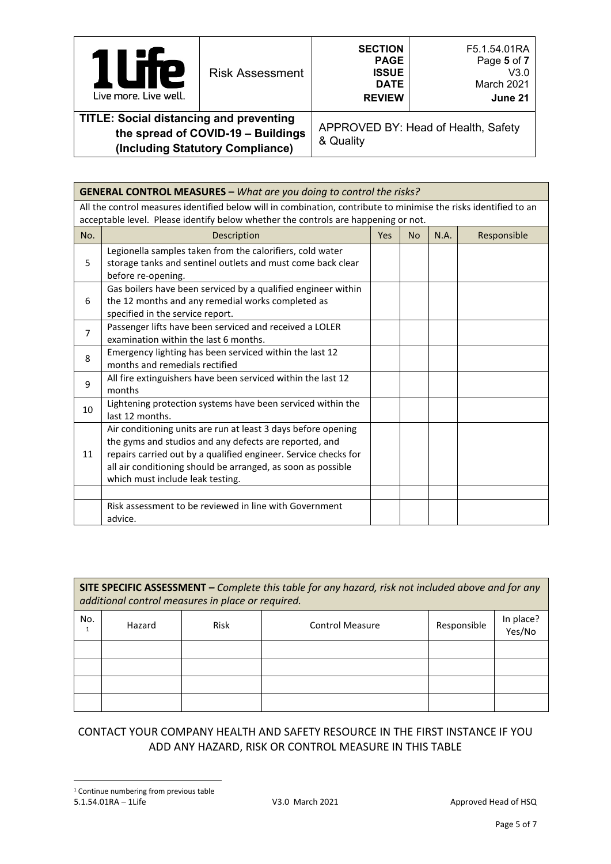| P<br>Live more. Live well.                                                           | <b>Risk Assessment</b> | <b>SECTION</b><br><b>PAGE</b><br><b>ISSUE</b><br><b>DATE</b><br><b>REVIEW</b> | F5.1.54.01RA<br>Page 5 of 7<br>V3.0<br>March 2021<br>June 21 |
|--------------------------------------------------------------------------------------|------------------------|-------------------------------------------------------------------------------|--------------------------------------------------------------|
| <b>TITLE: Social distancing and preventing</b><br>the spread of COVID-19 - Ruildings |                        |                                                                               | APPROVED BY: Head of Health, Safety                          |

& Quality

|                | <b>GENERAL CONTROL MEASURES - What are you doing to control the risks?</b>                                                                                                                                                                                                                     |            |           |      |             |
|----------------|------------------------------------------------------------------------------------------------------------------------------------------------------------------------------------------------------------------------------------------------------------------------------------------------|------------|-----------|------|-------------|
|                | All the control measures identified below will in combination, contribute to minimise the risks identified to an<br>acceptable level. Please identify below whether the controls are happening or not.                                                                                         |            |           |      |             |
| No.            | Description                                                                                                                                                                                                                                                                                    | <b>Yes</b> | <b>No</b> | N.A. | Responsible |
| 5              | Legionella samples taken from the calorifiers, cold water<br>storage tanks and sentinel outlets and must come back clear<br>before re-opening.                                                                                                                                                 |            |           |      |             |
| 6              | Gas boilers have been serviced by a qualified engineer within<br>the 12 months and any remedial works completed as<br>specified in the service report.                                                                                                                                         |            |           |      |             |
| $\overline{7}$ | Passenger lifts have been serviced and received a LOLER<br>examination within the last 6 months.                                                                                                                                                                                               |            |           |      |             |
| 8              | Emergency lighting has been serviced within the last 12<br>months and remedials rectified                                                                                                                                                                                                      |            |           |      |             |
| 9              | All fire extinguishers have been serviced within the last 12<br>months                                                                                                                                                                                                                         |            |           |      |             |
| 10             | Lightening protection systems have been serviced within the<br>last 12 months.                                                                                                                                                                                                                 |            |           |      |             |
| 11             | Air conditioning units are run at least 3 days before opening<br>the gyms and studios and any defects are reported, and<br>repairs carried out by a qualified engineer. Service checks for<br>all air conditioning should be arranged, as soon as possible<br>which must include leak testing. |            |           |      |             |
|                | Risk assessment to be reviewed in line with Government<br>advice.                                                                                                                                                                                                                              |            |           |      |             |

|     | SITE SPECIFIC ASSESSMENT - Complete this table for any hazard, risk not included above and for any<br>additional control measures in place or required. |      |                        |             |                     |  |  |  |  |
|-----|---------------------------------------------------------------------------------------------------------------------------------------------------------|------|------------------------|-------------|---------------------|--|--|--|--|
| No. | Hazard                                                                                                                                                  | Risk | <b>Control Measure</b> | Responsible | In place?<br>Yes/No |  |  |  |  |
|     |                                                                                                                                                         |      |                        |             |                     |  |  |  |  |
|     |                                                                                                                                                         |      |                        |             |                     |  |  |  |  |
|     |                                                                                                                                                         |      |                        |             |                     |  |  |  |  |
|     |                                                                                                                                                         |      |                        |             |                     |  |  |  |  |

# <span id="page-4-0"></span>CONTACT YOUR COMPANY HEALTH AND SAFETY RESOURCE IN THE FIRST INSTANCE IF YOU ADD ANY HAZARD, RISK OR CONTROL MEASURE IN THIS TABLE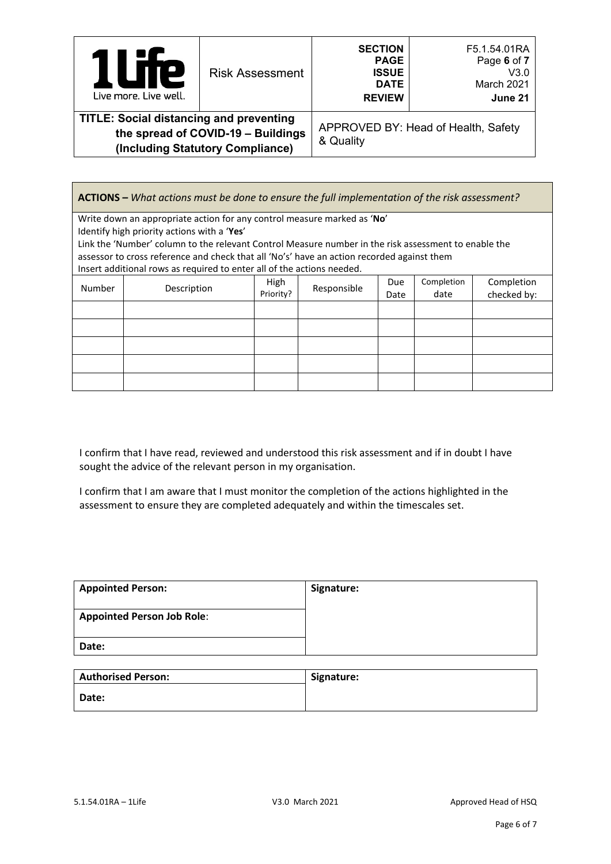| <b>TTP</b><br>$\overline{\phantom{a}}$<br>Live more, Live well.                                                          | <b>Risk Assessment</b> | <b>SECTION</b><br><b>PAGE</b><br><b>ISSUE</b><br><b>DATE</b><br><b>REVIEW</b> | F5.1.54.01RA<br>Page 6 of 7<br>V3.0<br>March 2021<br>June 21 |
|--------------------------------------------------------------------------------------------------------------------------|------------------------|-------------------------------------------------------------------------------|--------------------------------------------------------------|
| <b>TITLE: Social distancing and preventing</b><br>the spread of COVID-19 - Buildings<br>(Including Statutory Compliance) |                        | APPROVED BY: Head of Health, Safety<br>& Quality                              |                                                              |

**ACTIONS –** *What actions must be done to ensure the full implementation of the risk assessment?* Write down an appropriate action for any control measure marked as '**No**' Identify high priority actions with a '**Yes**' Link the 'Number' column to the relevant Control Measure number in the risk assessment to enable the assessor to cross reference and check that all 'No's' have an action recorded against them Insert additional rows as required to enter all of the actions needed. Number Description High<br>
Priority?  $Responsible$  Due Date Completion date Completion checked by:

I confirm that I have read, reviewed and understood this risk assessment and if in doubt I have sought the advice of the relevant person in my organisation.

I confirm that I am aware that I must monitor the completion of the actions highlighted in the assessment to ensure they are completed adequately and within the timescales set.

| <b>Appointed Person:</b>          | Signature: |
|-----------------------------------|------------|
| <b>Appointed Person Job Role:</b> |            |
| Date:                             |            |

| <b>Authorised Person:</b> | Signature: |
|---------------------------|------------|
| Date:                     |            |